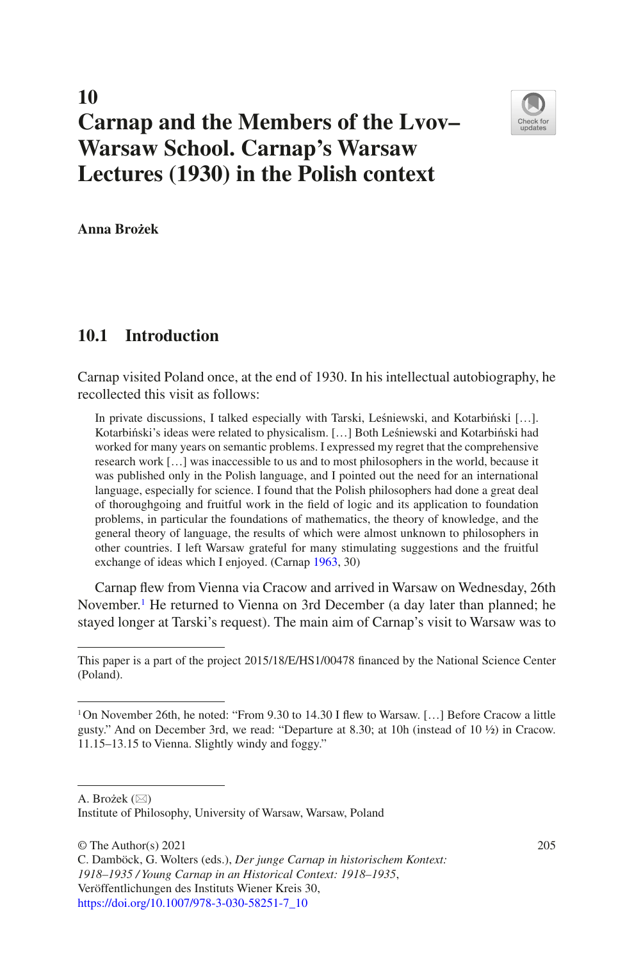# **10 Carnap and the Members of the Lvov– Warsaw School. Carnap's Warsaw Lectures (1930) in the Polish context**



**Anna Brożek**

## **10.1 Introduction**

Carnap visited Poland once, at the end of 1930. In his intellectual autobiography, he recollected this visit as follows:

In private discussions, I talked especially with Tarski, Leśniewski, and Kotarbiński […]. Kotarbiński's ideas were related to physicalism. […] Both Leśniewski and Kotarbiński had worked for many years on semantic problems. I expressed my regret that the comprehensive research work […] was inaccessible to us and to most philosophers in the world, because it was published only in the Polish language, and I pointed out the need for an international language, especially for science. I found that the Polish philosophers had done a great deal of thoroughgoing and fruitful work in the feld of logic and its application to foundation problems, in particular the foundations of mathematics, the theory of knowledge, and the general theory of language, the results of which were almost unknown to philosophers in other countries. I left Warsaw grateful for many stimulating suggestions and the fruitful exchange of ideas which I enjoyed. (Carnap [1963](#page-15-0), 30)

Carnap flew from Vienna via Cracow and arrived in Warsaw on Wednesday, 26th November.<sup>[1](#page-0-0)</sup> He returned to Vienna on 3rd December (a day later than planned; he stayed longer at Tarski's request). The main aim of Carnap's visit to Warsaw was to

© The Author(s) 2021 205 C. Damböck, G. Wolters (eds.), *Der junge Carnap in historischem Kontext: 1918–1935 / Young Carnap in an Historical Context: 1918–1935*, Veröffentlichungen des Instituts Wiener Kreis 30, [https://doi.org/10.1007/978-3-030-58251-7\\_10](https://doi.org/10.1007/978-3-030-58251-7_10#DOI)

This paper is a part of the project 2015/18/E/HS1/00478 fnanced by the National Science Center (Poland).

<span id="page-0-0"></span><sup>1</sup>On November 26th, he noted: "From 9.30 to 14.30 I few to Warsaw. […] Before Cracow a little gusty." And on December 3rd, we read: "Departure at 8.30; at 10h (instead of 10 ½) in Cracow. 11.15–13.15 to Vienna. Slightly windy and foggy."

A. Brożek  $(\boxtimes)$ 

Institute of Philosophy, University of Warsaw, Warsaw, Poland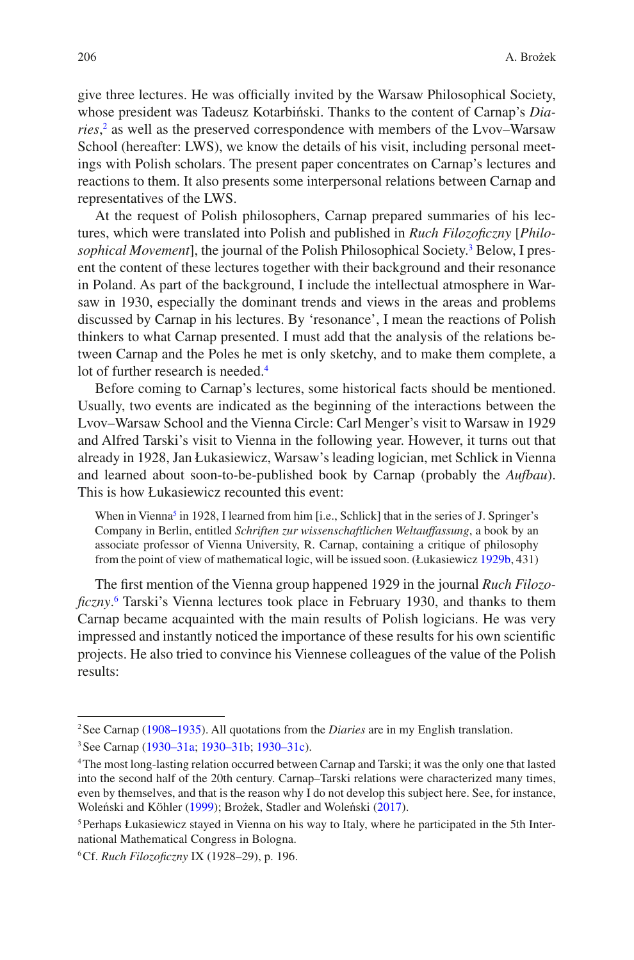give three lectures. He was officially invited by the Warsaw Philosophical Society, whose president was Tadeusz Kotarbiński. Thanks to the content of Carnap's *Diaries*, [2](#page-1-0) as well as the preserved correspondence with members of the Lvov–Warsaw School (hereafter: LWS), we know the details of his visit, including personal meetings with Polish scholars. The present paper concentrates on Carnap's lectures and reactions to them. It also presents some interpersonal relations between Carnap and representatives of the LWS.

At the request of Polish philosophers, Carnap prepared summaries of his lectures, which were translated into Polish and published in *Ruch Filozofczny* [*Philo-*sophical Movement], the journal of the Polish Philosophical Society.<sup>[3](#page-1-1)</sup> Below, I present the content of these lectures together with their background and their resonance in Poland. As part of the background, I include the intellectual atmosphere in Warsaw in 1930, especially the dominant trends and views in the areas and problems discussed by Carnap in his lectures. By 'resonance', I mean the reactions of Polish thinkers to what Carnap presented. I must add that the analysis of the relations between Carnap and the Poles he met is only sketchy, and to make them complete, a lot of further research is needed.<sup>4</sup>

Before coming to Carnap's lectures, some historical facts should be mentioned. Usually, two events are indicated as the beginning of the interactions between the Lvov–Warsaw School and the Vienna Circle: Carl Menger's visit to Warsaw in 1929 and Alfred Tarski's visit to Vienna in the following year. However, it turns out that already in 1928, Jan Łukasiewicz, Warsaw's leading logician, met Schlick in Vienna and learned about soon-to-be-published book by Carnap (probably the *Aufbau*). This is how Łukasiewicz recounted this event:

When in Vienna<sup>5</sup> in 1928, I learned from him [i.e., Schlick] that in the series of J. Springer's Company in Berlin, entitled *Schriften zur wissenschaftlichen Weltauffassung*, a book by an associate professor of Vienna University, R. Carnap, containing a critique of philosophy from the point of view of mathematical logic, will be issued soon. (Łukasiewicz [1929b](#page-15-1), 431)

The frst mention of the Vienna group happened 1929 in the journal *Ruch Filozofczny*. [6](#page-1-4) Tarski's Vienna lectures took place in February 1930, and thanks to them Carnap became acquainted with the main results of Polish logicians. He was very impressed and instantly noticed the importance of these results for his own scientifc projects. He also tried to convince his Viennese colleagues of the value of the Polish results:

<span id="page-1-0"></span><sup>&</sup>lt;sup>2</sup>See Carnap [\(1908–1935\)](#page-15-2). All quotations from the *Diaries* are in my English translation.

<span id="page-1-1"></span><sup>3</sup>See Carnap [\(1930–31a;](#page-15-3) [1930–31b](#page-15-4); [1930–31c](#page-15-5)).

<span id="page-1-2"></span><sup>4</sup>The most long-lasting relation occurred between Carnap and Tarski; it was the only one that lasted into the second half of the 20th century. Carnap–Tarski relations were characterized many times, even by themselves, and that is the reason why I do not develop this subject here. See, for instance, Woleński and KÖhler [\(1999](#page-16-0)); Brożek, Stadler and Woleński ([2017\)](#page-15-6).

<span id="page-1-3"></span><sup>&</sup>lt;sup>5</sup>Perhaps Łukasiewicz stayed in Vienna on his way to Italy, where he participated in the 5th International Mathematical Congress in Bologna.

<span id="page-1-4"></span><sup>6</sup>Cf. *Ruch Filozofczny* IX (1928–29), p. 196.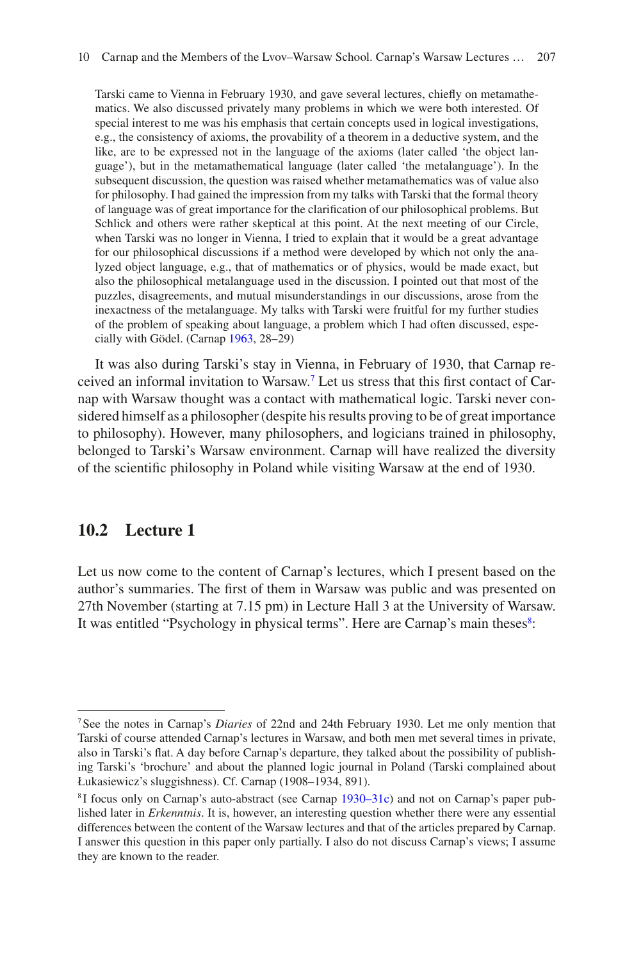Tarski came to Vienna in February 1930, and gave several lectures, chiefy on metamathematics. We also discussed privately many problems in which we were both interested. Of special interest to me was his emphasis that certain concepts used in logical investigations, e.g., the consistency of axioms, the provability of a theorem in a deductive system, and the like, are to be expressed not in the language of the axioms (later called 'the object language'), but in the metamathematical language (later called 'the metalanguage'). In the subsequent discussion, the question was raised whether metamathematics was of value also for philosophy. I had gained the impression from my talks with Tarski that the formal theory of language was of great importance for the clarifcation of our philosophical problems. But Schlick and others were rather skeptical at this point. At the next meeting of our Circle, when Tarski was no longer in Vienna, I tried to explain that it would be a great advantage for our philosophical discussions if a method were developed by which not only the analyzed object language, e.g., that of mathematics or of physics, would be made exact, but also the philosophical metalanguage used in the discussion. I pointed out that most of the puzzles, disagreements, and mutual misunderstandings in our discussions, arose from the inexactness of the metalanguage. My talks with Tarski were fruitful for my further studies of the problem of speaking about language, a problem which I had often discussed, especially with Gödel. (Carnap [1963,](#page-15-0) 28–29)

It was also during Tarski's stay in Vienna, in February of 1930, that Carnap received an informal invitation to Warsaw[.7](#page-2-0) Let us stress that this frst contact of Carnap with Warsaw thought was a contact with mathematical logic. Tarski never considered himself as a philosopher (despite his results proving to be of great importance to philosophy). However, many philosophers, and logicians trained in philosophy, belonged to Tarski's Warsaw environment. Carnap will have realized the diversity of the scientifc philosophy in Poland while visiting Warsaw at the end of 1930.

#### **10.2 Lecture 1**

Let us now come to the content of Carnap's lectures, which I present based on the author's summaries. The frst of them in Warsaw was public and was presented on 27th November (starting at 7.15 pm) in Lecture Hall 3 at the University of Warsaw. It was entitled "Psychology in physical terms". Here are Carnap's main theses<sup>[8](#page-2-1)</sup>:

<span id="page-2-0"></span><sup>7</sup>See the notes in Carnap's *Diaries* of 22nd and 24th February 1930. Let me only mention that Tarski of course attended Carnap's lectures in Warsaw, and both men met several times in private, also in Tarski's fat. A day before Carnap's departure, they talked about the possibility of publishing Tarski's 'brochure' and about the planned logic journal in Poland (Tarski complained about Łukasiewicz's sluggishness). Cf. Carnap (1908–1934, 891).

<span id="page-2-1"></span><sup>8</sup> I focus only on Carnap's auto-abstract (see Carnap [1930–31c](#page-15-5)) and not on Carnap's paper published later in *Erkenntnis*. It is, however, an interesting question whether there were any essential differences between the content of the Warsaw lectures and that of the articles prepared by Carnap. I answer this question in this paper only partially. I also do not discuss Carnap's views; I assume they are known to the reader.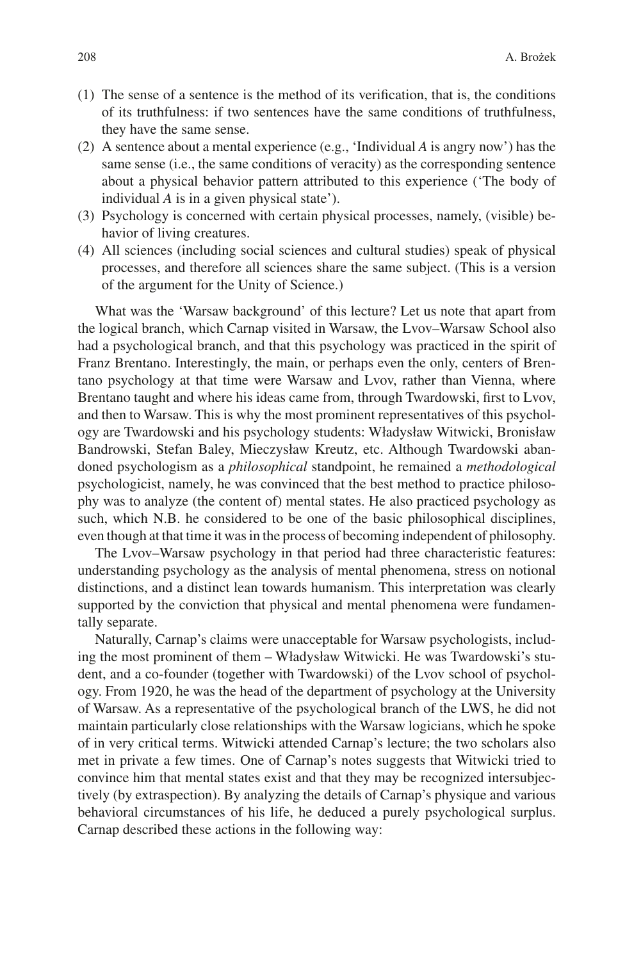- (1) The sense of a sentence is the method of its verifcation, that is, the conditions of its truthfulness: if two sentences have the same conditions of truthfulness, they have the same sense.
- (2) A sentence about a mental experience (e.g., 'Individual *A* is angry now') has the same sense (i.e., the same conditions of veracity) as the corresponding sentence about a physical behavior pattern attributed to this experience ('The body of individual *A* is in a given physical state').
- (3) Psychology is concerned with certain physical processes, namely, (visible) behavior of living creatures.
- (4) All sciences (including social sciences and cultural studies) speak of physical processes, and therefore all sciences share the same subject. (This is a version of the argument for the Unity of Science.)

What was the 'Warsaw background' of this lecture? Let us note that apart from the logical branch, which Carnap visited in Warsaw, the Lvov–Warsaw School also had a psychological branch, and that this psychology was practiced in the spirit of Franz Brentano. Interestingly, the main, or perhaps even the only, centers of Brentano psychology at that time were Warsaw and Lvov, rather than Vienna, where Brentano taught and where his ideas came from, through Twardowski, frst to Lvov, and then to Warsaw. This is why the most prominent representatives of this psychology are Twardowski and his psychology students: Władysław Witwicki, Bronisław Bandrowski, Stefan Baley, Mieczysław Kreutz, etc. Although Twardowski abandoned psychologism as a *philosophical* standpoint, he remained a *methodological* psychologicist, namely, he was convinced that the best method to practice philosophy was to analyze (the content of) mental states. He also practiced psychology as such, which N.B. he considered to be one of the basic philosophical disciplines, even though at that time it was in the process of becoming independent of philosophy.

The Lvov–Warsaw psychology in that period had three characteristic features: understanding psychology as the analysis of mental phenomena, stress on notional distinctions, and a distinct lean towards humanism. This interpretation was clearly supported by the conviction that physical and mental phenomena were fundamentally separate.

Naturally, Carnap's claims were unacceptable for Warsaw psychologists, including the most prominent of them – Władysław Witwicki. He was Twardowski's student, and a co-founder (together with Twardowski) of the Lvov school of psychology. From 1920, he was the head of the department of psychology at the University of Warsaw. As a representative of the psychological branch of the LWS, he did not maintain particularly close relationships with the Warsaw logicians, which he spoke of in very critical terms. Witwicki attended Carnap's lecture; the two scholars also met in private a few times. One of Carnap's notes suggests that Witwicki tried to convince him that mental states exist and that they may be recognized intersubjectively (by extraspection). By analyzing the details of Carnap's physique and various behavioral circumstances of his life, he deduced a purely psychological surplus. Carnap described these actions in the following way: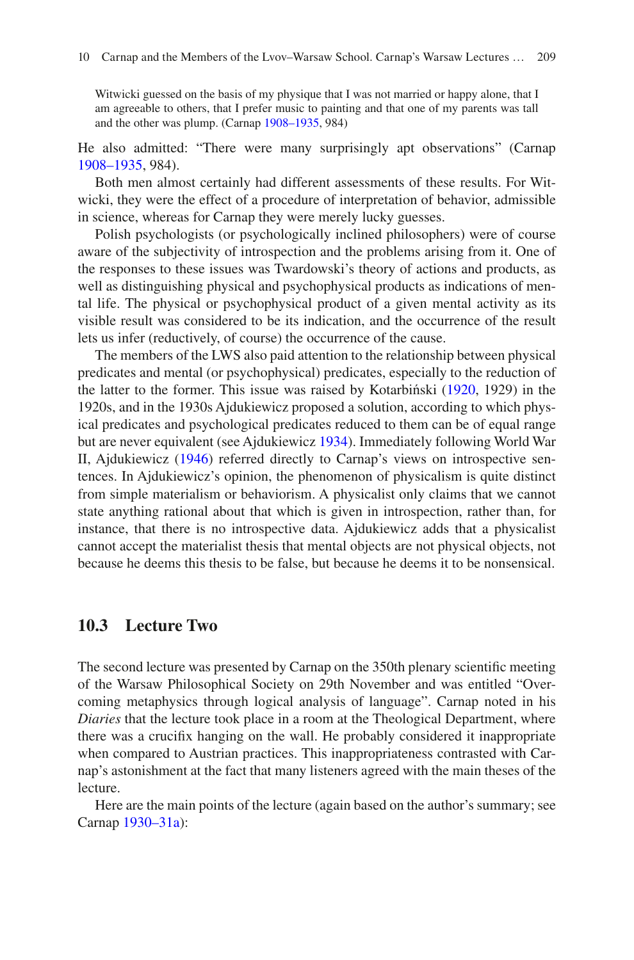Witwicki guessed on the basis of my physique that I was not married or happy alone, that I am agreeable to others, that I prefer music to painting and that one of my parents was tall and the other was plump. (Carnap [1908–1935](#page-15-2), 984)

He also admitted: "There were many surprisingly apt observations" (Carnap [1908–1935,](#page-15-2) 984).

Both men almost certainly had different assessments of these results. For Witwicki, they were the effect of a procedure of interpretation of behavior, admissible in science, whereas for Carnap they were merely lucky guesses.

Polish psychologists (or psychologically inclined philosophers) were of course aware of the subjectivity of introspection and the problems arising from it. One of the responses to these issues was Twardowski's theory of actions and products, as well as distinguishing physical and psychophysical products as indications of mental life. The physical or psychophysical product of a given mental activity as its visible result was considered to be its indication, and the occurrence of the result lets us infer (reductively, of course) the occurrence of the cause.

The members of the LWS also paid attention to the relationship between physical predicates and mental (or psychophysical) predicates, especially to the reduction of the latter to the former. This issue was raised by Kotarbiński ([1920,](#page-15-7) 1929) in the 1920s, and in the 1930s Ajdukiewicz proposed a solution, according to which physical predicates and psychological predicates reduced to them can be of equal range but are never equivalent (see Ajdukiewicz [1934](#page-14-0)). Immediately following World War II, Ajdukiewicz [\(1946](#page-15-8)) referred directly to Carnap's views on introspective sentences. In Ajdukiewicz's opinion, the phenomenon of physicalism is quite distinct from simple materialism or behaviorism. A physicalist only claims that we cannot state anything rational about that which is given in introspection, rather than, for instance, that there is no introspective data. Ajdukiewicz adds that a physicalist cannot accept the materialist thesis that mental objects are not physical objects, not because he deems this thesis to be false, but because he deems it to be nonsensical.

#### **10.3 Lecture Two**

The second lecture was presented by Carnap on the 350th plenary scientifc meeting of the Warsaw Philosophical Society on 29th November and was entitled "Overcoming metaphysics through logical analysis of language". Carnap noted in his *Diaries* that the lecture took place in a room at the Theological Department, where there was a crucifx hanging on the wall. He probably considered it inappropriate when compared to Austrian practices. This inappropriateness contrasted with Carnap's astonishment at the fact that many listeners agreed with the main theses of the lecture.

Here are the main points of the lecture (again based on the author's summary; see Carnap [1930–31a\)](#page-15-3):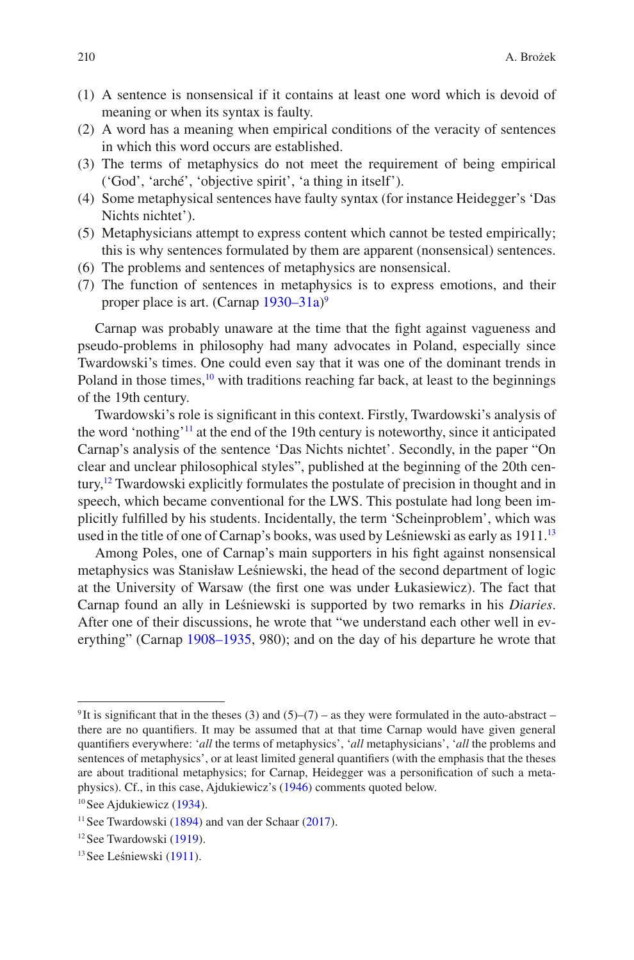- (1) A sentence is nonsensical if it contains at least one word which is devoid of meaning or when its syntax is faulty.
- (2) A word has a meaning when empirical conditions of the veracity of sentences in which this word occurs are established.
- (3) The terms of metaphysics do not meet the requirement of being empirical ('God', 'arché', 'objective spirit', 'a thing in itself').
- (4) Some metaphysical sentences have faulty syntax (for instance Heidegger's 'Das Nichts nichtet').
- (5) Metaphysicians attempt to express content which cannot be tested empirically; this is why sentences formulated by them are apparent (nonsensical) sentences.
- (6) The problems and sentences of metaphysics are nonsensical.
- (7) The function of sentences in metaphysics is to express emotions, and their proper place is art. (Carnap [1930–31a\)](#page-15-3)<sup>[9](#page-5-0)</sup>

Carnap was probably unaware at the time that the fght against vagueness and pseudo-problems in philosophy had many advocates in Poland, especially since Twardowski's times. One could even say that it was one of the dominant trends in Poland in those times, $10$  with traditions reaching far back, at least to the beginnings of the 19th century.

Twardowski's role is signifcant in this context. Firstly, Twardowski's analysis of the word 'nothing['11](#page-5-2) at the end of the 19th century is noteworthy, since it anticipated Carnap's analysis of the sentence 'Das Nichts nichtet'. Secondly, in the paper "On clear and unclear philosophical styles", published at the beginning of the 20th century,<sup>12</sup> Twardowski explicitly formulates the postulate of precision in thought and in speech, which became conventional for the LWS. This postulate had long been implicitly fulflled by his students. Incidentally, the term 'Scheinproblem', which was used in the title of one of Carnap's books, was used by Leśniewski as early as 1911.<sup>[13](#page-5-4)</sup>

Among Poles, one of Carnap's main supporters in his fight against nonsensical metaphysics was Stanisław Leśniewski, the head of the second department of logic at the University of Warsaw (the frst one was under Łukasiewicz). The fact that Carnap found an ally in Leśniewski is supported by two remarks in his *Diaries*. After one of their discussions, he wrote that "we understand each other well in everything" (Carnap [1908–1935,](#page-15-2) 980); and on the day of his departure he wrote that

<span id="page-5-0"></span><sup>&</sup>lt;sup>9</sup> It is significant that in the theses (3) and (5)–(7) – as they were formulated in the auto-abstract – there are no quantifers. It may be assumed that at that time Carnap would have given general quantifers everywhere: '*all* the terms of metaphysics', '*all* metaphysicians', '*all* the problems and sentences of metaphysics', or at least limited general quantifers (with the emphasis that the theses are about traditional metaphysics; for Carnap, Heidegger was a personifcation of such a metaphysics). Cf., in this case, Ajdukiewicz's ([1946\)](#page-15-8) comments quoted below.

<span id="page-5-1"></span><sup>&</sup>lt;sup>10</sup>See Ajdukiewicz [\(1934](#page-14-0)).

<span id="page-5-2"></span><sup>&</sup>lt;sup>11</sup> See Twardowski ([1894\)](#page-16-1) and van der Schaar [\(2017](#page-16-2)).

<span id="page-5-3"></span><sup>&</sup>lt;sup>12</sup> See Twardowski ([1919\)](#page-16-3).

<span id="page-5-4"></span><sup>&</sup>lt;sup>13</sup>See Leśniewski ([1911\)](#page-15-9).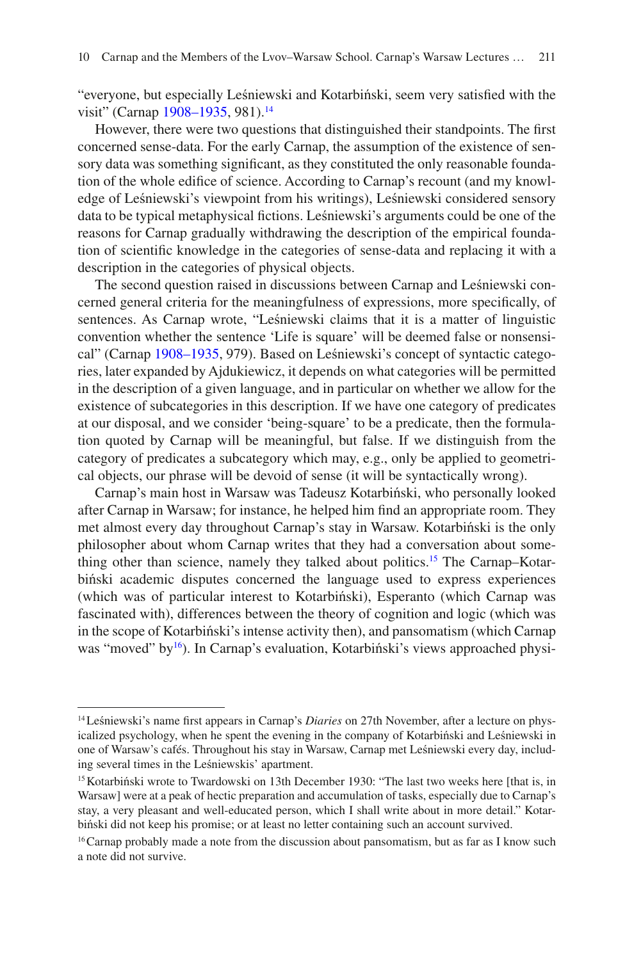"everyone, but especially Leśniewski and Kotarbiński, seem very satisfed with the visit" (Carnap [1908–1935,](#page-15-2) 981).<sup>[14](#page-6-0)</sup>

However, there were two questions that distinguished their standpoints. The frst concerned sense-data. For the early Carnap, the assumption of the existence of sensory data was something signifcant, as they constituted the only reasonable foundation of the whole edifce of science. According to Carnap's recount (and my knowledge of Leśniewski's viewpoint from his writings), Leśniewski considered sensory data to be typical metaphysical fctions. Leśniewski's arguments could be one of the reasons for Carnap gradually withdrawing the description of the empirical foundation of scientifc knowledge in the categories of sense-data and replacing it with a description in the categories of physical objects.

The second question raised in discussions between Carnap and Leśniewski concerned general criteria for the meaningfulness of expressions, more specifcally, of sentences. As Carnap wrote, "Leśniewski claims that it is a matter of linguistic convention whether the sentence 'Life is square' will be deemed false or nonsensical" (Carnap [1908–1935](#page-15-2), 979). Based on Leśniewski's concept of syntactic categories, later expanded by Ajdukiewicz, it depends on what categories will be permitted in the description of a given language, and in particular on whether we allow for the existence of subcategories in this description. If we have one category of predicates at our disposal, and we consider 'being-square' to be a predicate, then the formulation quoted by Carnap will be meaningful, but false. If we distinguish from the category of predicates a subcategory which may, e.g., only be applied to geometrical objects, our phrase will be devoid of sense (it will be syntactically wrong).

Carnap's main host in Warsaw was Tadeusz Kotarbiński, who personally looked after Carnap in Warsaw; for instance, he helped him fnd an appropriate room. They met almost every day throughout Carnap's stay in Warsaw. Kotarbiński is the only philosopher about whom Carnap writes that they had a conversation about something other than science, namely they talked about politics.[15](#page-6-1) The Carnap–Kotarbiński academic disputes concerned the language used to express experiences (which was of particular interest to Kotarbiński), Esperanto (which Carnap was fascinated with), differences between the theory of cognition and logic (which was in the scope of Kotarbiński's intense activity then), and pansomatism (which Carnap was "moved" by<sup>16</sup>). In Carnap's evaluation, Kotarbiński's views approached physi-

<span id="page-6-0"></span><sup>14</sup>Leśniewski's name frst appears in Carnap's *Diaries* on 27th November, after a lecture on physicalized psychology, when he spent the evening in the company of Kotarbiński and Leśniewski in one of Warsaw's cafés. Throughout his stay in Warsaw, Carnap met Leśniewski every day, including several times in the Leśniewskis' apartment.

<span id="page-6-1"></span><sup>&</sup>lt;sup>15</sup> Kotarbiński wrote to Twardowski on 13th December 1930: "The last two weeks here [that is, in Warsaw] were at a peak of hectic preparation and accumulation of tasks, especially due to Carnap's stay, a very pleasant and well-educated person, which I shall write about in more detail." Kotarbiński did not keep his promise; or at least no letter containing such an account survived.

<span id="page-6-2"></span> $16$ Carnap probably made a note from the discussion about pansomatism, but as far as I know such a note did not survive.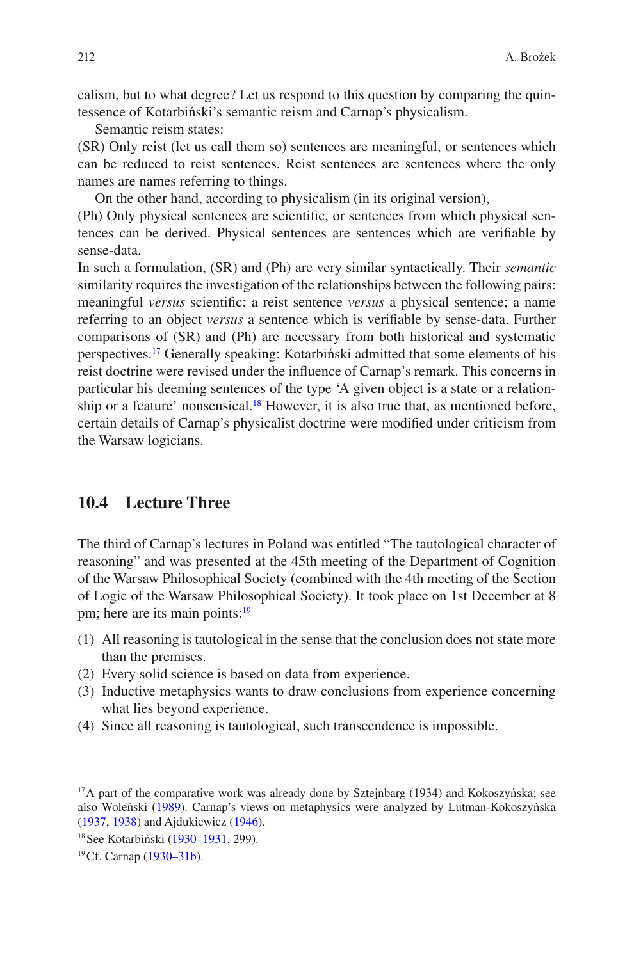calism, but to what degree? Let us respond to this question by comparing the quintessence of Kotarbiński's semantic reism and Carnap's physicalism.

Semantic reism states:

(SR) Only reist (let us call them so) sentences are meaningful, or sentences which can be reduced to reist sentences. Reist sentences are sentences where the only names are names referring to things.

On the other hand, according to physicalism (in its original version),

(Ph) Only physical sentences are scientifc, or sentences from which physical sentences can be derived. Physical sentences are sentences which are verifable by sense-data.

In such a formulation, (SR) and (Ph) are very similar syntactically. Their *semantic* similarity requires the investigation of the relationships between the following pairs: meaningful *versus* scientifc; a reist sentence *versus* a physical sentence; a name referring to an object *versus* a sentence which is verifable by sense-data. Further comparisons of (SR) and (Ph) are necessary from both historical and systematic perspectives[.17](#page-7-0) Generally speaking: Kotarbiński admitted that some elements of his reist doctrine were revised under the infuence of Carnap's remark. This concerns in particular his deeming sentences of the type 'A given object is a state or a relationship or a feature' nonsensical.<sup>18</sup> However, it is also true that, as mentioned before, certain details of Carnap's physicalist doctrine were modifed under criticism from the Warsaw logicians.

#### **10.4 Lecture Three**

The third of Carnap's lectures in Poland was entitled "The tautological character of reasoning" and was presented at the 45th meeting of the Department of Cognition of the Warsaw Philosophical Society (combined with the 4th meeting of the Section of Logic of the Warsaw Philosophical Society). It took place on 1st December at 8 pm; here are its main points:<sup>19</sup>

- (1) All reasoning is tautological in the sense that the conclusion does not state more than the premises.
- (2) Every solid science is based on data from experience.
- (3) Inductive metaphysics wants to draw conclusions from experience concerning what lies beyond experience.
- (4) Since all reasoning is tautological, such transcendence is impossible.

<span id="page-7-0"></span><sup>&</sup>lt;sup>17</sup>A part of the comparative work was already done by Sztejnbarg (1934) and Kokoszyńska; see also Woleński [\(1989](#page-16-4)). Carnap's views on metaphysics were analyzed by Lutman-Kokoszyńska ([1937,](#page-16-5) [1938\)](#page-16-6) and Ajdukiewicz [\(1946](#page-15-8)).

<span id="page-7-1"></span><sup>18</sup>See Kotarbiński [\(1930–1931](#page-15-10), 299).

<span id="page-7-2"></span><sup>&</sup>lt;sup>19</sup>Cf. Carnap [\(1930–31b](#page-15-4)).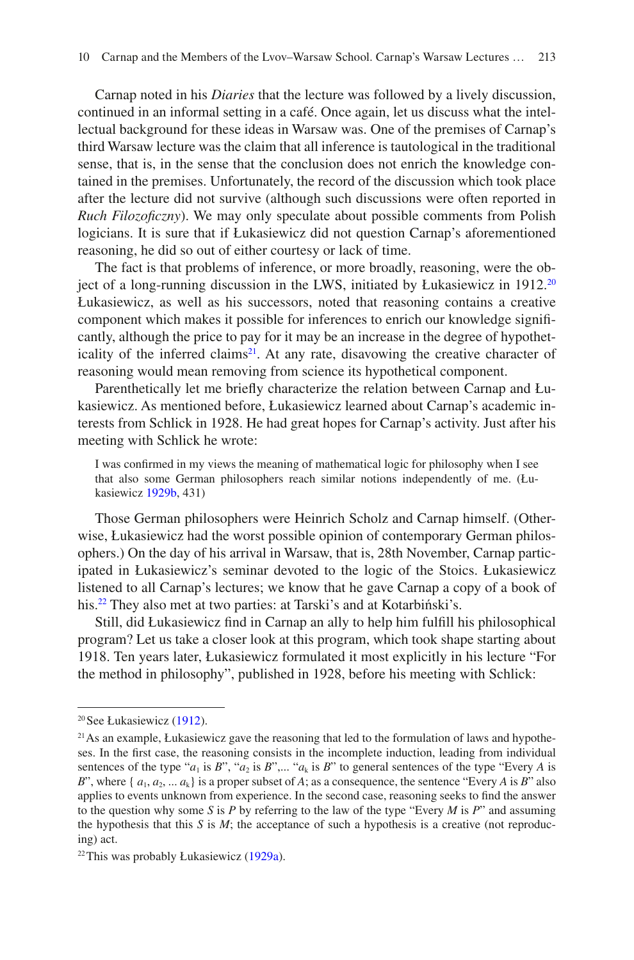Carnap noted in his *Diaries* that the lecture was followed by a lively discussion, continued in an informal setting in a café. Once again, let us discuss what the intellectual background for these ideas in Warsaw was. One of the premises of Carnap's third Warsaw lecture was the claim that all inference is tautological in the traditional sense, that is, in the sense that the conclusion does not enrich the knowledge contained in the premises. Unfortunately, the record of the discussion which took place after the lecture did not survive (although such discussions were often reported in *Ruch Filozofczny*). We may only speculate about possible comments from Polish logicians. It is sure that if Łukasiewicz did not question Carnap's aforementioned reasoning, he did so out of either courtesy or lack of time.

The fact is that problems of inference, or more broadly, reasoning, were the object of a long-running discussion in the LWS, initiated by Łukasiewicz in 1912.[20](#page-8-0) Łukasiewicz, as well as his successors, noted that reasoning contains a creative component which makes it possible for inferences to enrich our knowledge signifcantly, although the price to pay for it may be an increase in the degree of hypotheticality of the inferred claims<sup>21</sup>. At any rate, disavowing the creative character of reasoning would mean removing from science its hypothetical component.

Parenthetically let me briefy characterize the relation between Carnap and Łukasiewicz. As mentioned before, Łukasiewicz learned about Carnap's academic interests from Schlick in 1928. He had great hopes for Carnap's activity. Just after his meeting with Schlick he wrote:

I was confrmed in my views the meaning of mathematical logic for philosophy when I see that also some German philosophers reach similar notions independently of me. (Łukasiewicz [1929b,](#page-15-1) 431)

Those German philosophers were Heinrich Scholz and Carnap himself. (Otherwise, Łukasiewicz had the worst possible opinion of contemporary German philosophers.) On the day of his arrival in Warsaw, that is, 28th November, Carnap participated in Łukasiewicz's seminar devoted to the logic of the Stoics. Łukasiewicz listened to all Carnap's lectures; we know that he gave Carnap a copy of a book of his[.22](#page-8-2) They also met at two parties: at Tarski's and at Kotarbiński's.

Still, did Łukasiewicz fnd in Carnap an ally to help him fulfll his philosophical program? Let us take a closer look at this program, which took shape starting about 1918. Ten years later, Łukasiewicz formulated it most explicitly in his lecture "For the method in philosophy", published in 1928, before his meeting with Schlick:

<span id="page-8-0"></span><sup>&</sup>lt;sup>20</sup> See Łukasiewicz [\(1912](#page-15-11)).

<span id="page-8-1"></span> $^{21}$ As an example, Łukasiewicz gave the reasoning that led to the formulation of laws and hypotheses. In the frst case, the reasoning consists in the incomplete induction, leading from individual sentences of the type " $a_1$  is *B*", " $a_2$  is *B*",... " $a_k$  is *B*" to general sentences of the type "Every *A* is *B*", where  $\{a_1, a_2, \ldots a_k\}$  is a proper subset of *A*; as a consequence, the sentence "Every *A* is *B*" also applies to events unknown from experience. In the second case, reasoning seeks to fnd the answer to the question why some *S* is *P* by referring to the law of the type "Every *M* is *P*" and assuming the hypothesis that this  $S$  is  $M$ ; the acceptance of such a hypothesis is a creative (not reproducing) act.

<span id="page-8-2"></span><sup>&</sup>lt;sup>22</sup>This was probably Łukasiewicz [\(1929a](#page-15-12)).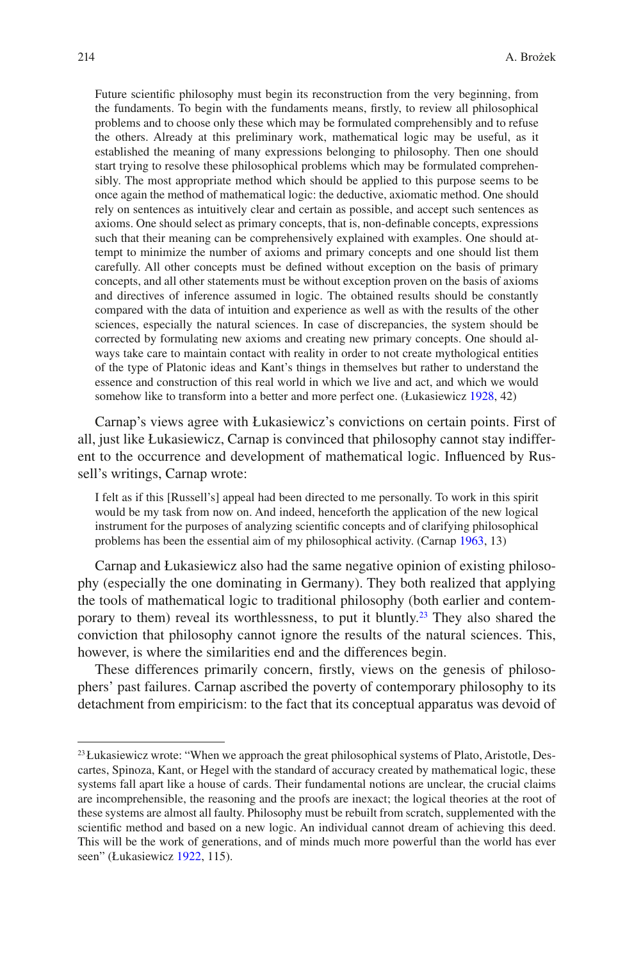Future scientifc philosophy must begin its reconstruction from the very beginning, from the fundaments. To begin with the fundaments means, frstly, to review all philosophical problems and to choose only these which may be formulated comprehensibly and to refuse the others. Already at this preliminary work, mathematical logic may be useful, as it established the meaning of many expressions belonging to philosophy. Then one should start trying to resolve these philosophical problems which may be formulated comprehensibly. The most appropriate method which should be applied to this purpose seems to be once again the method of mathematical logic: the deductive, axiomatic method. One should rely on sentences as intuitively clear and certain as possible, and accept such sentences as axioms. One should select as primary concepts, that is, non-defnable concepts, expressions such that their meaning can be comprehensively explained with examples. One should attempt to minimize the number of axioms and primary concepts and one should list them carefully. All other concepts must be defned without exception on the basis of primary concepts, and all other statements must be without exception proven on the basis of axioms and directives of inference assumed in logic. The obtained results should be constantly compared with the data of intuition and experience as well as with the results of the other sciences, especially the natural sciences. In case of discrepancies, the system should be corrected by formulating new axioms and creating new primary concepts. One should always take care to maintain contact with reality in order to not create mythological entities of the type of Platonic ideas and Kant's things in themselves but rather to understand the essence and construction of this real world in which we live and act, and which we would somehow like to transform into a better and more perfect one. (Łukasiewicz [1928,](#page-15-13) 42)

Carnap's views agree with Łukasiewicz's convictions on certain points. First of all, just like Łukasiewicz, Carnap is convinced that philosophy cannot stay indifferent to the occurrence and development of mathematical logic. Infuenced by Russell's writings, Carnap wrote:

I felt as if this [Russell's] appeal had been directed to me personally. To work in this spirit would be my task from now on. And indeed, henceforth the application of the new logical instrument for the purposes of analyzing scientifc concepts and of clarifying philosophical problems has been the essential aim of my philosophical activity. (Carnap [1963,](#page-15-0) 13)

Carnap and Łukasiewicz also had the same negative opinion of existing philosophy (especially the one dominating in Germany). They both realized that applying the tools of mathematical logic to traditional philosophy (both earlier and contemporary to them) reveal its worthlessness, to put it bluntly.[23](#page-9-0) They also shared the conviction that philosophy cannot ignore the results of the natural sciences. This, however, is where the similarities end and the differences begin.

These differences primarily concern, frstly, views on the genesis of philosophers' past failures. Carnap ascribed the poverty of contemporary philosophy to its detachment from empiricism: to the fact that its conceptual apparatus was devoid of

<span id="page-9-0"></span><sup>&</sup>lt;sup>23</sup> Łukasiewicz wrote: "When we approach the great philosophical systems of Plato, Aristotle, Descartes, Spinoza, Kant, or Hegel with the standard of accuracy created by mathematical logic, these systems fall apart like a house of cards. Their fundamental notions are unclear, the crucial claims are incomprehensible, the reasoning and the proofs are inexact; the logical theories at the root of these systems are almost all faulty. Philosophy must be rebuilt from scratch, supplemented with the scientifc method and based on a new logic. An individual cannot dream of achieving this deed. This will be the work of generations, and of minds much more powerful than the world has ever seen" (Łukasiewicz [1922,](#page-15-14) 115).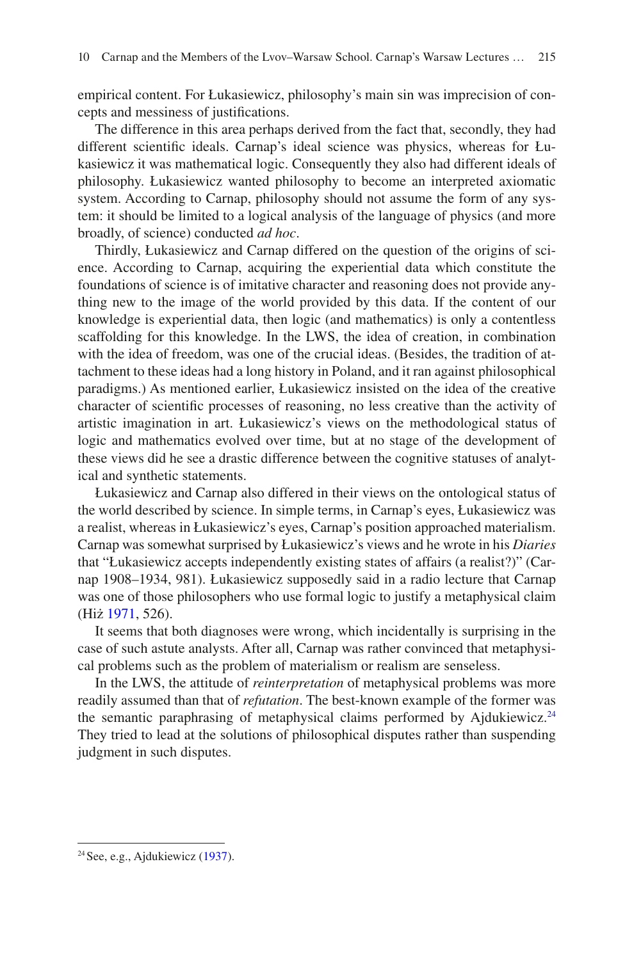empirical content. For Łukasiewicz, philosophy's main sin was imprecision of concepts and messiness of justifcations.

The difference in this area perhaps derived from the fact that, secondly, they had different scientifc ideals. Carnap's ideal science was physics, whereas for Łukasiewicz it was mathematical logic. Consequently they also had different ideals of philosophy. Łukasiewicz wanted philosophy to become an interpreted axiomatic system. According to Carnap, philosophy should not assume the form of any system: it should be limited to a logical analysis of the language of physics (and more broadly, of science) conducted *ad hoc*.

Thirdly, Łukasiewicz and Carnap differed on the question of the origins of science. According to Carnap, acquiring the experiential data which constitute the foundations of science is of imitative character and reasoning does not provide anything new to the image of the world provided by this data. If the content of our knowledge is experiential data, then logic (and mathematics) is only a contentless scaffolding for this knowledge. In the LWS, the idea of creation, in combination with the idea of freedom, was one of the crucial ideas. (Besides, the tradition of attachment to these ideas had a long history in Poland, and it ran against philosophical paradigms.) As mentioned earlier, Łukasiewicz insisted on the idea of the creative character of scientifc processes of reasoning, no less creative than the activity of artistic imagination in art. Łukasiewicz's views on the methodological status of logic and mathematics evolved over time, but at no stage of the development of these views did he see a drastic difference between the cognitive statuses of analytical and synthetic statements.

Łukasiewicz and Carnap also differed in their views on the ontological status of the world described by science. In simple terms, in Carnap's eyes, Łukasiewicz was a realist, whereas in Łukasiewicz's eyes, Carnap's position approached materialism. Carnap was somewhat surprised by Łukasiewicz's views and he wrote in his *Diaries* that "Łukasiewicz accepts independently existing states of affairs (a realist?)" (Carnap 1908–1934, 981). Łukasiewicz supposedly said in a radio lecture that Carnap was one of those philosophers who use formal logic to justify a metaphysical claim (Hiż [1971](#page-15-15), 526).

It seems that both diagnoses were wrong, which incidentally is surprising in the case of such astute analysts. After all, Carnap was rather convinced that metaphysical problems such as the problem of materialism or realism are senseless.

In the LWS, the attitude of *reinterpretation* of metaphysical problems was more readily assumed than that of *refutation*. The best-known example of the former was the semantic paraphrasing of metaphysical claims performed by Ajdukiewicz.<sup>[24](#page-10-0)</sup> They tried to lead at the solutions of philosophical disputes rather than suspending judgment in such disputes.

<span id="page-10-0"></span> $24$  See, e.g., Ajdukiewicz ([1937\)](#page-14-1).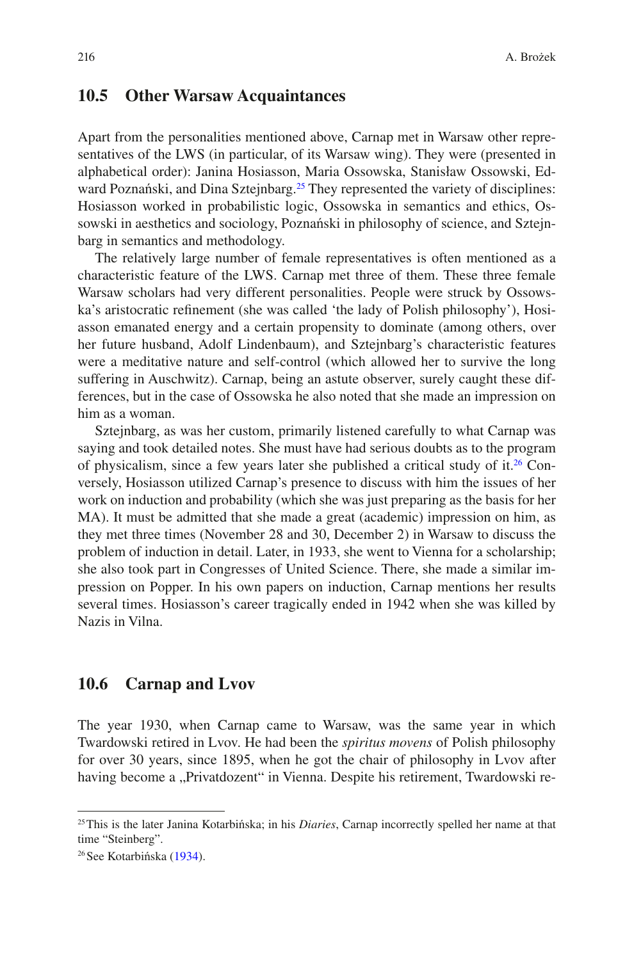#### **10.5 Other Warsaw Acquaintances**

Apart from the personalities mentioned above, Carnap met in Warsaw other representatives of the LWS (in particular, of its Warsaw wing). They were (presented in alphabetical order): Janina Hosiasson, Maria Ossowska, Stanisław Ossowski, Edward Poznański, and Dina Sztejnbarg.<sup>25</sup> They represented the variety of disciplines: Hosiasson worked in probabilistic logic, Ossowska in semantics and ethics, Ossowski in aesthetics and sociology, Poznański in philosophy of science, and Sztejnbarg in semantics and methodology.

The relatively large number of female representatives is often mentioned as a characteristic feature of the LWS. Carnap met three of them. These three female Warsaw scholars had very different personalities. People were struck by Ossowska's aristocratic refnement (she was called 'the lady of Polish philosophy'), Hosiasson emanated energy and a certain propensity to dominate (among others, over her future husband, Adolf Lindenbaum), and Sztejnbarg's characteristic features were a meditative nature and self-control (which allowed her to survive the long suffering in Auschwitz). Carnap, being an astute observer, surely caught these differences, but in the case of Ossowska he also noted that she made an impression on him as a woman.

Sztejnbarg, as was her custom, primarily listened carefully to what Carnap was saying and took detailed notes. She must have had serious doubts as to the program of physicalism, since a few years later she published a critical study of it.<sup>26</sup> Conversely, Hosiasson utilized Carnap's presence to discuss with him the issues of her work on induction and probability (which she was just preparing as the basis for her MA). It must be admitted that she made a great (academic) impression on him, as they met three times (November 28 and 30, December 2) in Warsaw to discuss the problem of induction in detail. Later, in 1933, she went to Vienna for a scholarship; she also took part in Congresses of United Science. There, she made a similar impression on Popper. In his own papers on induction, Carnap mentions her results several times. Hosiasson's career tragically ended in 1942 when she was killed by Nazis in Vilna.

#### **10.6 Carnap and Lvov**

The year 1930, when Carnap came to Warsaw, was the same year in which Twardowski retired in Lvov. He had been the *spiritus movens* of Polish philosophy for over 30 years, since 1895, when he got the chair of philosophy in Lvov after having become a "Privatdozent" in Vienna. Despite his retirement, Twardowski re-

<span id="page-11-0"></span><sup>25</sup>This is the later Janina Kotarbińska; in his *Diaries*, Carnap incorrectly spelled her name at that time "Steinberg".

<span id="page-11-1"></span><sup>&</sup>lt;sup>26</sup>See Kotarbińska ([1934\)](#page-15-16).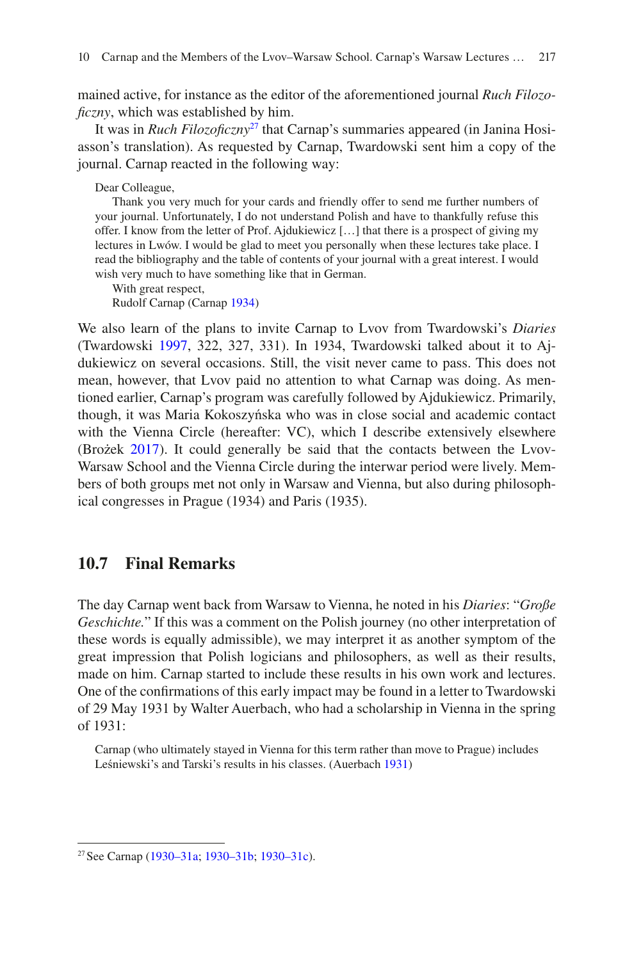mained active, for instance as the editor of the aforementioned journal *Ruch Filozofczny*, which was established by him.

It was in *Ruch Filozofczny*[27](#page-12-0) that Carnap's summaries appeared (in Janina Hosiasson's translation). As requested by Carnap, Twardowski sent him a copy of the journal. Carnap reacted in the following way:

Dear Colleague,

Thank you very much for your cards and friendly offer to send me further numbers of your journal. Unfortunately, I do not understand Polish and have to thankfully refuse this offer. I know from the letter of Prof. Ajdukiewicz […] that there is a prospect of giving my lectures in Lwów. I would be glad to meet you personally when these lectures take place. I read the bibliography and the table of contents of your journal with a great interest. I would wish very much to have something like that in German.

With great respect, Rudolf Carnap (Carnap [1934\)](#page-15-17)

We also learn of the plans to invite Carnap to Lvov from Twardowski's *Diaries* (Twardowski [1997](#page-16-7), 322, 327, 331). In 1934, Twardowski talked about it to Ajdukiewicz on several occasions. Still, the visit never came to pass. This does not mean, however, that Lvov paid no attention to what Carnap was doing. As mentioned earlier, Carnap's program was carefully followed by Ajdukiewicz. Primarily, though, it was Maria Kokoszyńska who was in close social and academic contact with the Vienna Circle (hereafter: VC), which I describe extensively elsewhere (Brożek [2017](#page-15-18)). It could generally be said that the contacts between the Lvov-Warsaw School and the Vienna Circle during the interwar period were lively. Members of both groups met not only in Warsaw and Vienna, but also during philosophical congresses in Prague (1934) and Paris (1935).

### **10.7 Final Remarks**

The day Carnap went back from Warsaw to Vienna, he noted in his *Diaries*: "*Große Geschichte.*" If this was a comment on the Polish journey (no other interpretation of these words is equally admissible), we may interpret it as another symptom of the great impression that Polish logicians and philosophers, as well as their results, made on him. Carnap started to include these results in his own work and lectures. One of the confrmations of this early impact may be found in a letter to Twardowski of 29 May 1931 by Walter Auerbach, who had a scholarship in Vienna in the spring of 1931:

Carnap (who ultimately stayed in Vienna for this term rather than move to Prague) includes Leśniewski's and Tarski's results in his classes. (Auerbach [1931](#page-15-19))

<span id="page-12-0"></span><sup>27</sup>See Carnap ([1930–31a](#page-15-3); [1930–31b;](#page-15-4) [1930–31c\)](#page-15-5).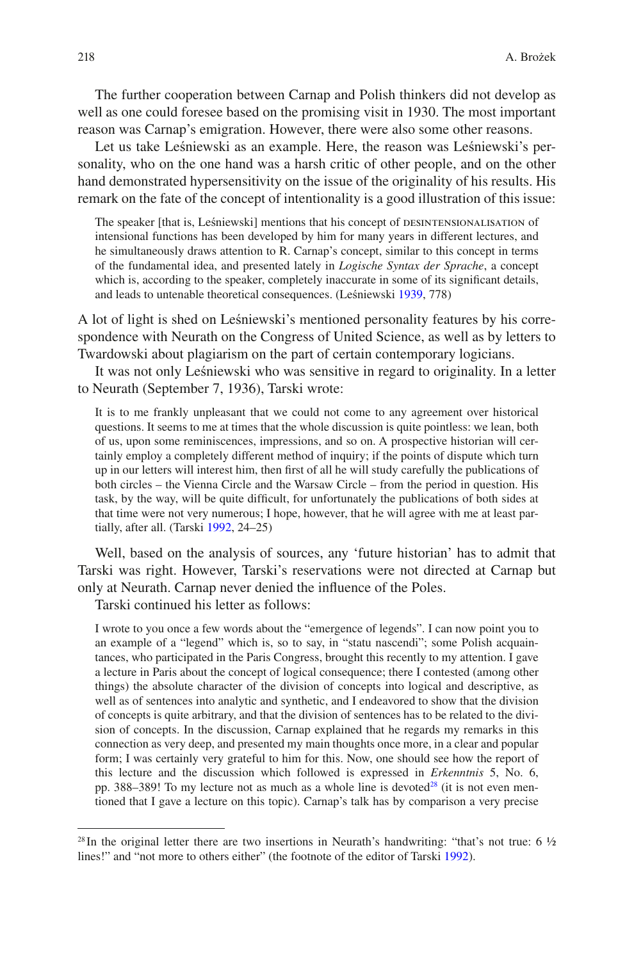The further cooperation between Carnap and Polish thinkers did not develop as well as one could foresee based on the promising visit in 1930. The most important reason was Carnap's emigration. However, there were also some other reasons.

Let us take Leśniewski as an example. Here, the reason was Leśniewski's personality, who on the one hand was a harsh critic of other people, and on the other hand demonstrated hypersensitivity on the issue of the originality of his results. His remark on the fate of the concept of intentionality is a good illustration of this issue:

The speaker [that is, Leśniewski] mentions that his concept of DESINTENSIONALISATION of intensional functions has been developed by him for many years in different lectures, and he simultaneously draws attention to R. Carnap's concept, similar to this concept in terms of the fundamental idea, and presented lately in *Logische Syntax der Sprache*, a concept which is, according to the speaker, completely inaccurate in some of its significant details, and leads to untenable theoretical consequences. (Leśniewski [1939](#page-15-20), 778)

A lot of light is shed on Leśniewski's mentioned personality features by his correspondence with Neurath on the Congress of United Science, as well as by letters to Twardowski about plagiarism on the part of certain contemporary logicians.

It was not only Leśniewski who was sensitive in regard to originality. In a letter to Neurath (September 7, 1936), Tarski wrote:

It is to me frankly unpleasant that we could not come to any agreement over historical questions. It seems to me at times that the whole discussion is quite pointless: we lean, both of us, upon some reminiscences, impressions, and so on. A prospective historian will certainly employ a completely different method of inquiry; if the points of dispute which turn up in our letters will interest him, then frst of all he will study carefully the publications of both circles – the Vienna Circle and the Warsaw Circle – from the period in question. His task, by the way, will be quite diffcult, for unfortunately the publications of both sides at that time were not very numerous; I hope, however, that he will agree with me at least partially, after all. (Tarski [1992](#page-16-8), 24–25)

Well, based on the analysis of sources, any 'future historian' has to admit that Tarski was right. However, Tarski's reservations were not directed at Carnap but only at Neurath. Carnap never denied the infuence of the Poles.

Tarski continued his letter as follows:

I wrote to you once a few words about the "emergence of legends". I can now point you to an example of a "legend" which is, so to say, in "statu nascendi"; some Polish acquaintances, who participated in the Paris Congress, brought this recently to my attention. I gave a lecture in Paris about the concept of logical consequence; there I contested (among other things) the absolute character of the division of concepts into logical and descriptive, as well as of sentences into analytic and synthetic, and I endeavored to show that the division of concepts is quite arbitrary, and that the division of sentences has to be related to the division of concepts. In the discussion, Carnap explained that he regards my remarks in this connection as very deep, and presented my main thoughts once more, in a clear and popular form; I was certainly very grateful to him for this. Now, one should see how the report of this lecture and the discussion which followed is expressed in *Erkenntnis* 5, No. 6, pp. 388–389! To my lecture not as much as a whole line is devoted<sup>28</sup> (it is not even mentioned that I gave a lecture on this topic). Carnap's talk has by comparison a very precise

<span id="page-13-0"></span><sup>&</sup>lt;sup>28</sup>In the original letter there are two insertions in Neurath's handwriting: "that's not true: 6  $\frac{1}{2}$ lines!" and "not more to others either" (the footnote of the editor of Tarski [1992\)](#page-16-8).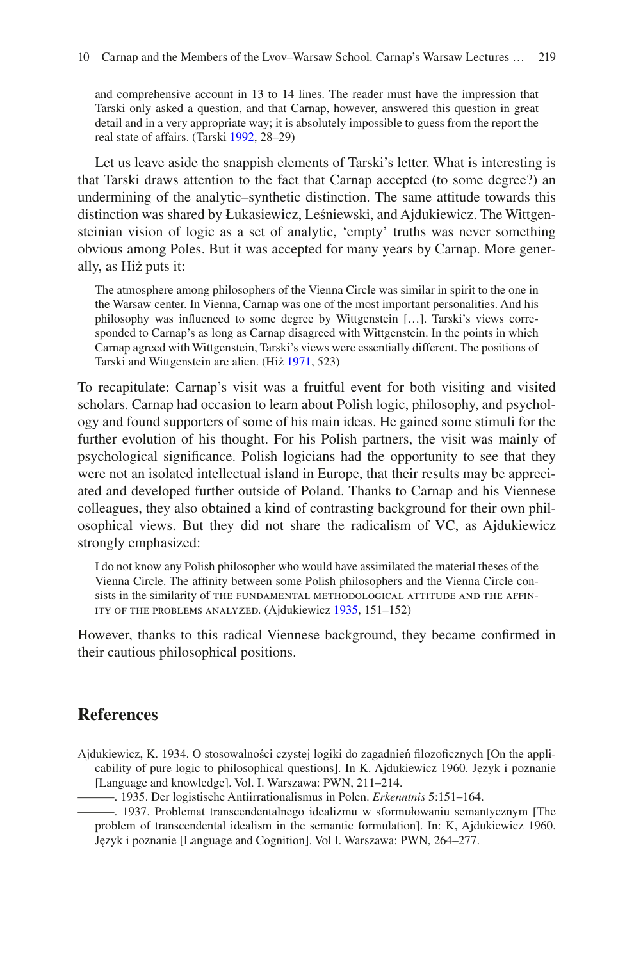and comprehensive account in 13 to 14 lines. The reader must have the impression that Tarski only asked a question, and that Carnap, however, answered this question in great detail and in a very appropriate way; it is absolutely impossible to guess from the report the real state of affairs. (Tarski [1992](#page-16-8), 28–29)

Let us leave aside the snappish elements of Tarski's letter. What is interesting is that Tarski draws attention to the fact that Carnap accepted (to some degree?) an undermining of the analytic–synthetic distinction. The same attitude towards this distinction was shared by Łukasiewicz, Leśniewski, and Ajdukiewicz. The Wittgensteinian vision of logic as a set of analytic, 'empty' truths was never something obvious among Poles. But it was accepted for many years by Carnap. More generally, as Hiż puts it:

The atmosphere among philosophers of the Vienna Circle was similar in spirit to the one in the Warsaw center. In Vienna, Carnap was one of the most important personalities. And his philosophy was infuenced to some degree by Wittgenstein […]. Tarski's views corresponded to Carnap's as long as Carnap disagreed with Wittgenstein. In the points in which Carnap agreed with Wittgenstein, Tarski's views were essentially different. The positions of Tarski and Wittgenstein are alien. (Hiż [1971,](#page-15-15) 523)

To recapitulate: Carnap's visit was a fruitful event for both visiting and visited scholars. Carnap had occasion to learn about Polish logic, philosophy, and psychology and found supporters of some of his main ideas. He gained some stimuli for the further evolution of his thought. For his Polish partners, the visit was mainly of psychological signifcance. Polish logicians had the opportunity to see that they were not an isolated intellectual island in Europe, that their results may be appreciated and developed further outside of Poland. Thanks to Carnap and his Viennese colleagues, they also obtained a kind of contrasting background for their own philosophical views. But they did not share the radicalism of VC, as Ajdukiewicz strongly emphasized:

I do not know any Polish philosopher who would have assimilated the material theses of the Vienna Circle. The affnity between some Polish philosophers and the Vienna Circle consists in the similarity of the fundamental methodological attitude and the affinity of the problems analyzed. (Ajdukiewicz [1935](#page-14-2), 151–152)

However, thanks to this radical Viennese background, they became confrmed in their cautious philosophical positions.

## **References**

- <span id="page-14-0"></span>Ajdukiewicz, K. 1934. O stosowalności czystej logiki do zagadnień flozofcznych [On the applicability of pure logic to philosophical questions]. In K. Ajdukiewicz 1960. Język i poznanie [Language and knowledge]. Vol. I. Warszawa: PWN, 211–214.
	- ———. 1935. Der logistische Antiirrationalismus in Polen. *Erkenntnis* 5:151–164.

<span id="page-14-2"></span><span id="page-14-1"></span>———. 1937. Problemat transcendentalnego idealizmu w sformułowaniu semantycznym [The problem of transcendental idealism in the semantic formulation]. In: K, Ajdukiewicz 1960. Język i poznanie [Language and Cognition]. Vol I. Warszawa: PWN, 264–277.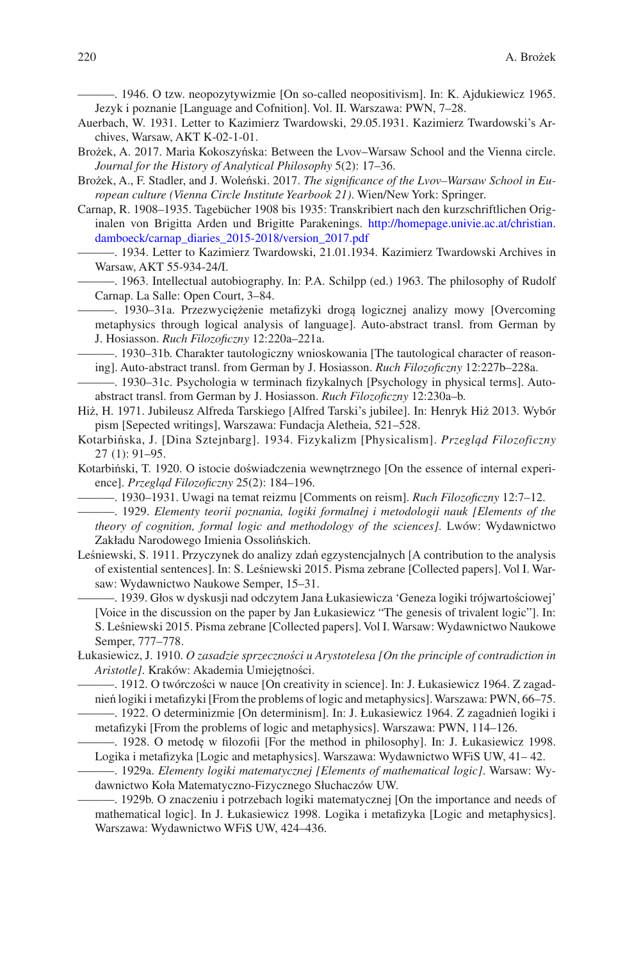<span id="page-15-8"></span>———. 1946. O tzw. neopozytywizmie [On so-called neopositivism]. In: K. Ajdukiewicz 1965. Jezyk i poznanie [Language and Cofnition]. Vol. II. Warszawa: PWN, 7–28.

- <span id="page-15-19"></span>Auerbach, W. 1931. Letter to Kazimierz Twardowski, 29.05.1931. Kazimierz Twardowski's Archives, Warsaw, AKT K-02-1-01.
- <span id="page-15-18"></span>Brożek, A. 2017. Maria Kokoszyńska: Between the Lvov–Warsaw School and the Vienna circle. *Journal for the History of Analytical Philosophy* 5(2): 17–36.
- <span id="page-15-6"></span>Brożek, A., F. Stadler, and J. Woleński. 2017. *The signifcance of the Lvov–Warsaw School in European culture (Vienna Circle Institute Yearbook 21)*. Wien/New York: Springer.
- <span id="page-15-17"></span><span id="page-15-2"></span>Carnap, R. 1908–1935. Tagebücher 1908 bis 1935: Transkribiert nach den kurzschriftlichen Originalen von Brigitta Arden und Brigitte Parakenings. [http://homepage.univie.ac.at/christian.](http://homepage.univie.ac.at/christian.damboeck/carnap_diaries_2015-2018/version_2017.pdf) [damboeck/carnap\\_diaries\\_2015-2018/version\\_2017.pdf](http://homepage.univie.ac.at/christian.damboeck/carnap_diaries_2015-2018/version_2017.pdf)
	- ———. 1934. Letter to Kazimierz Twardowski, 21.01.1934. Kazimierz Twardowski Archives in Warsaw, AKT 55-934-24/I.
	- ———. 1963. Intellectual autobiography. In: P.A. Schilpp (ed.) 1963. The philosophy of Rudolf Carnap. La Salle: Open Court, 3–84.

<span id="page-15-3"></span><span id="page-15-0"></span>———. 1930–31a. Przezwyciężenie metafzyki drogą logicznej analizy mowy [Overcoming metaphysics through logical analysis of language]. Auto-abstract transl. from German by J. Hosiasson. *Ruch Filozofczny* 12:220a–221a.

- <span id="page-15-4"></span>———. 1930–31b. Charakter tautologiczny wnioskowania [The tautological character of reasoning]. Auto-abstract transl. from German by J. Hosiasson. *Ruch Filozofczny* 12:227b–228a.
- <span id="page-15-5"></span>-. 1930–31c. Psychologia w terminach fizykalnych [Psychology in physical terms]. Autoabstract transl. from German by J. Hosiasson. *Ruch Filozofczny* 12:230a–b.
- <span id="page-15-15"></span>Hiż, H. 1971. Jubileusz Alfreda Tarskiego [Alfred Tarski's jubilee]. In: Henryk Hiż 2013. Wybór pism [Sepected writings], Warszawa: Fundacja Aletheia, 521–528.
- <span id="page-15-16"></span>Kotarbińska, J. [Dina Sztejnbarg]. 1934. Fizykalizm [Physicalism]. *Przegląd Filozoficzny* 27 (1): 91–95.
- <span id="page-15-10"></span><span id="page-15-7"></span>Kotarbiński, T. 1920. O istocie doświadczenia wewnętrznego [On the essence of internal experience]. *Przegląd Filozofczny* 25(2): 184–196.
	- ———. 1930–1931. Uwagi na temat reizmu [Comments on reism]. *Ruch Filozofczny* 12:7–12.
	- ———. 1929. *Elementy teorii poznania, logiki formalnej i metodologii nauk [Elements of the theory of cognition, formal logic and methodology of the sciences]*. Lwów: Wydawnictwo Zakładu Narodowego Imienia Ossolińskich.
- <span id="page-15-20"></span><span id="page-15-9"></span>Leśniewski, S. 1911. Przyczynek do analizy zdań egzystencjalnych [A contribution to the analysis of existential sentences]. In: S. Leśniewski 2015. Pisma zebrane [Collected papers]. Vol I. Warsaw: Wydawnictwo Naukowe Semper, 15–31.
	- ———. 1939. Głos w dyskusji nad odczytem Jana Łukasiewicza 'Geneza logiki trójwartościowej' [Voice in the discussion on the paper by Jan Łukasiewicz "The genesis of trivalent logic"]. In: S. Leśniewski 2015. Pisma zebrane [Collected papers]. Vol I. Warsaw: Wydawnictwo Naukowe Semper, 777–778.
- Łukasiewicz, J. 1910. *O zasadzie sprzeczności u Arystotelesa [On the principle of contradiction in Aristotle]*. Kraków: Akademia Umiejętności.
- <span id="page-15-14"></span><span id="page-15-13"></span><span id="page-15-12"></span><span id="page-15-11"></span><span id="page-15-1"></span>———. 1912. O twórczości w nauce [On creativity in science]. In: J. Łukasiewicz 1964. Z zagadnień logiki i metafzyki [From the problems of logic and metaphysics]. Warszawa: PWN, 66–75.
	- ———. 1922. O determinizmie [On determinism]. In: J. Łukasiewicz 1964. Z zagadnień logiki i metafzyki [From the problems of logic and metaphysics]. Warszawa: PWN, 114–126.
	- ———. 1928. O metodę w flozofi [For the method in philosophy]. In: J. Łukasiewicz 1998. Logika i metafzyka [Logic and metaphysics]. Warszawa: Wydawnictwo WFiS UW, 41– 42.
	- ———. 1929a. *Elementy logiki matematycznej [Elements of mathematical logic]*. Warsaw: Wydawnictwo Koła Matematyczno-Fizycznego Słuchaczów UW.
	- ———. 1929b. O znaczeniu i potrzebach logiki matematycznej [On the importance and needs of mathematical logic]. In J. Łukasiewicz 1998. Logika i metafzyka [Logic and metaphysics]. Warszawa: Wydawnictwo WFiS UW, 424–436.